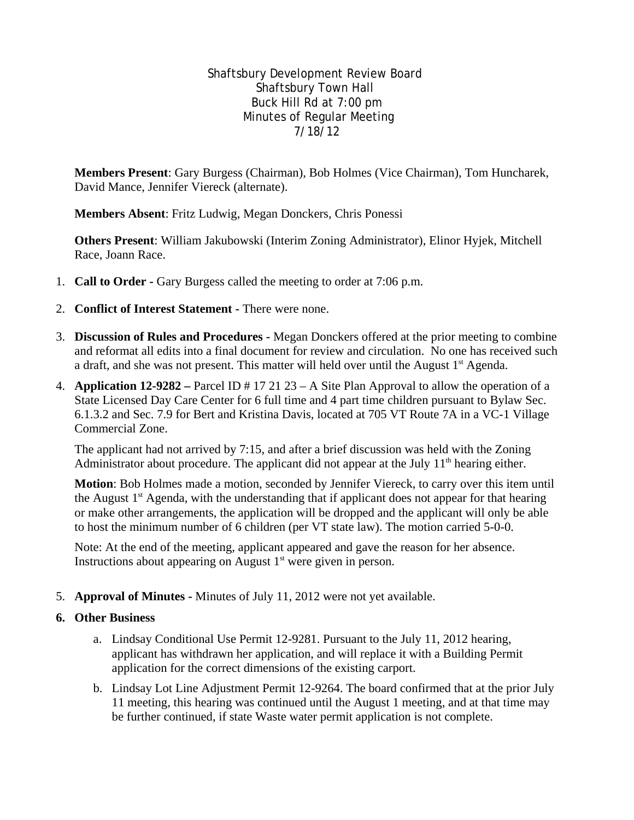## Shaftsbury Development Review Board Shaftsbury Town Hall Buck Hill Rd at 7:00 pm Minutes of Regular Meeting 7/18/12

**Members Present**: Gary Burgess (Chairman), Bob Holmes (Vice Chairman), Tom Huncharek, David Mance, Jennifer Viereck (alternate).

**Members Absent**: Fritz Ludwig, Megan Donckers, Chris Ponessi

**Others Present**: William Jakubowski (Interim Zoning Administrator), Elinor Hyjek, Mitchell Race, Joann Race.

- 1. **Call to Order** Gary Burgess called the meeting to order at 7:06 p.m.
- 2. **Conflict of Interest Statement** There were none.
- 3. **Discussion of Rules and Procedures** Megan Donckers offered at the prior meeting to combine and reformat all edits into a final document for review and circulation. No one has received such a draft, and she was not present. This matter will held over until the August  $1<sup>st</sup>$  Agenda.
- 4. **Application 12-9282** Parcel ID # 17 21 23 A Site Plan Approval to allow the operation of a State Licensed Day Care Center for 6 full time and 4 part time children pursuant to Bylaw Sec. 6.1.3.2 and Sec. 7.9 for Bert and Kristina Davis, located at 705 VT Route 7A in a VC-1 Village Commercial Zone.

The applicant had not arrived by 7:15, and after a brief discussion was held with the Zoning Administrator about procedure. The applicant did not appear at the July  $11<sup>th</sup>$  hearing either.

**Motion**: Bob Holmes made a motion, seconded by Jennifer Viereck, to carry over this item until the August  $1<sup>st</sup>$  Agenda, with the understanding that if applicant does not appear for that hearing or make other arrangements, the application will be dropped and the applicant will only be able to host the minimum number of 6 children (per VT state law). The motion carried 5-0-0.

Note: At the end of the meeting, applicant appeared and gave the reason for her absence. Instructions about appearing on August  $1<sup>st</sup>$  were given in person.

5. **Approval of Minutes -** Minutes of July 11, 2012 were not yet available.

## **6. Other Business**

- a. Lindsay Conditional Use Permit 12-9281. Pursuant to the July 11, 2012 hearing, applicant has withdrawn her application, and will replace it with a Building Permit application for the correct dimensions of the existing carport.
- b. Lindsay Lot Line Adjustment Permit 12-9264. The board confirmed that at the prior July 11 meeting, this hearing was continued until the August 1 meeting, and at that time may be further continued, if state Waste water permit application is not complete.